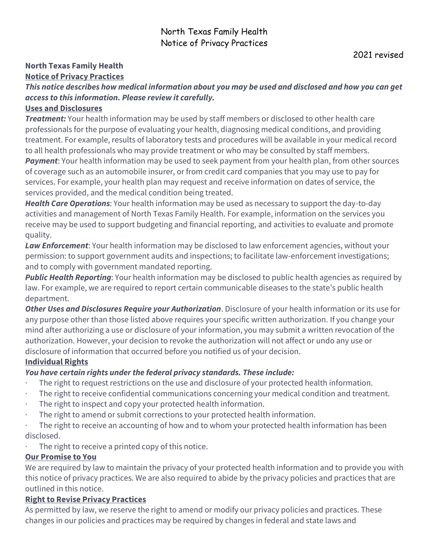# North Texas Family Health Notice of Privacy Practices

#### **North Texas Family Health Notice of Privacy Practices**

# *This notice describes how medical information about you may be used and disclosed and how you can get access to this information. Please review it carefully.*

#### **Uses and Disclosures**

*Treatment:* Your health information may be used by staff members or disclosed to other health care professionals for the purpose of evaluating your health, diagnosing medical conditions, and providing treatment. For example, results of laboratory tests and procedures will be available in your medical record to all health professionals who may provide treatment or who may be consulted by staff members.

*Payment*: Your health information may be used to seek payment from your health plan, from other sources of coverage such as an automobile insurer, or from credit card companies that you may use to pay for services. For example, your health plan may request and receive information on dates of service, the services provided, and the medical condition being treated.

*Health Care Operations*: Your health information may be used as necessary to support the day-to-day activities and management of North Texas Family Health. For example, information on the services you receive may be used to support budgeting and financial reporting, and activities to evaluate and promote quality.

*Law Enforcement*: Your health information may be disclosed to law enforcement agencies, without your permission: to support government audits and inspections; to facilitate law-enforcement investigations; and to comply with government mandated reporting.

**Public Health Reporting**: Your health information may be disclosed to public health agencies as required by law. For example, we are required to report certain communicable diseases to the state's public health department.

*Other Uses and Disclosures Require your Authorization*. Disclosure of your health information or its use for any purpose other than those listed above requires your specific written authorization. If you change your mind after authorizing a use or disclosure of your information, you may submit a written revocation of the authorization. However, your decision to revoke the authorization will not affect or undo any use or disclosure of information that occurred before you notified us of your decision.

### **Individual Rights**

### *You have certain rights under the federal privacy standards. These include:*

- · The right to request restrictions on the use and disclosure of your protected health information.
- The right to receive confidential communications concerning your medical condition and treatment.
- · The right to inspect and copy your protected health information.
- The right to amend or submit corrections to your protected health information.
- · The right to receive an accounting of how and to whom your protected health information has been disclosed.
- The right to receive a printed copy of this notice.

### **Our Promise to You**

We are required by law to maintain the privacy of your protected health information and to provide you with this notice of privacy practices. We are also required to abide by the privacy policies and practices that are outlined in this notice.

### **Right to Revise Privacy Practices**

As permitted by law, we reserve the right to amend or modify our privacy policies and practices. These changes in our policies and practices may be required by changes in federal and state laws and